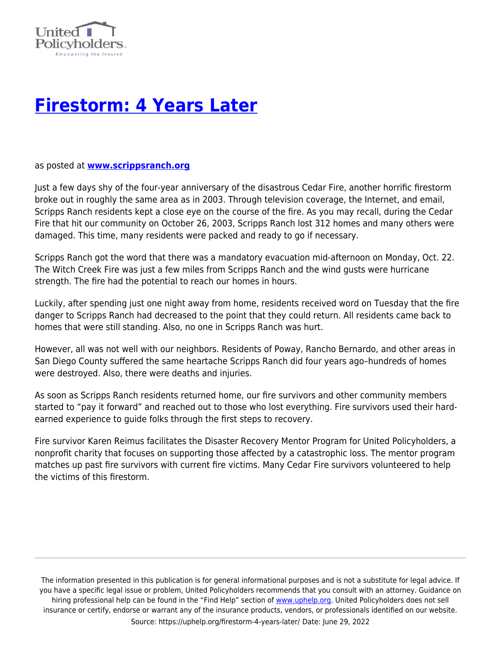

## **[Firestorm: 4 Years Later](https://uphelp.org/firestorm-4-years-later/)**

as posted at **[www.scrippsranch.org](http://www.scrippsranch.org/newsletter/article.asp?Month=November&Year=2007&Section=News)**

Just a few days shy of the four-year anniversary of the disastrous Cedar Fire, another horrific firestorm broke out in roughly the same area as in 2003. Through television coverage, the Internet, and email, Scripps Ranch residents kept a close eye on the course of the fire. As you may recall, during the Cedar Fire that hit our community on October 26, 2003, Scripps Ranch lost 312 homes and many others were damaged. This time, many residents were packed and ready to go if necessary.

Scripps Ranch got the word that there was a mandatory evacuation mid-afternoon on Monday, Oct. 22. The Witch Creek Fire was just a few miles from Scripps Ranch and the wind gusts were hurricane strength. The fire had the potential to reach our homes in hours.

Luckily, after spending just one night away from home, residents received word on Tuesday that the fire danger to Scripps Ranch had decreased to the point that they could return. All residents came back to homes that were still standing. Also, no one in Scripps Ranch was hurt.

However, all was not well with our neighbors. Residents of Poway, Rancho Bernardo, and other areas in San Diego County suffered the same heartache Scripps Ranch did four years ago–hundreds of homes were destroyed. Also, there were deaths and injuries.

As soon as Scripps Ranch residents returned home, our fire survivors and other community members started to "pay it forward" and reached out to those who lost everything. Fire survivors used their hardearned experience to guide folks through the first steps to recovery.

Fire survivor Karen Reimus facilitates the Disaster Recovery Mentor Program for United Policyholders, a nonprofit charity that focuses on supporting those affected by a catastrophic loss. The mentor program matches up past fire survivors with current fire victims. Many Cedar Fire survivors volunteered to help the victims of this firestorm.

The information presented in this publication is for general informational purposes and is not a substitute for legal advice. If you have a specific legal issue or problem, United Policyholders recommends that you consult with an attorney. Guidance on hiring professional help can be found in the "Find Help" section of [www.uphelp.org.](http://www.uphelp.org/) United Policyholders does not sell insurance or certify, endorse or warrant any of the insurance products, vendors, or professionals identified on our website. Source: https://uphelp.org/firestorm-4-years-later/ Date: June 29, 2022